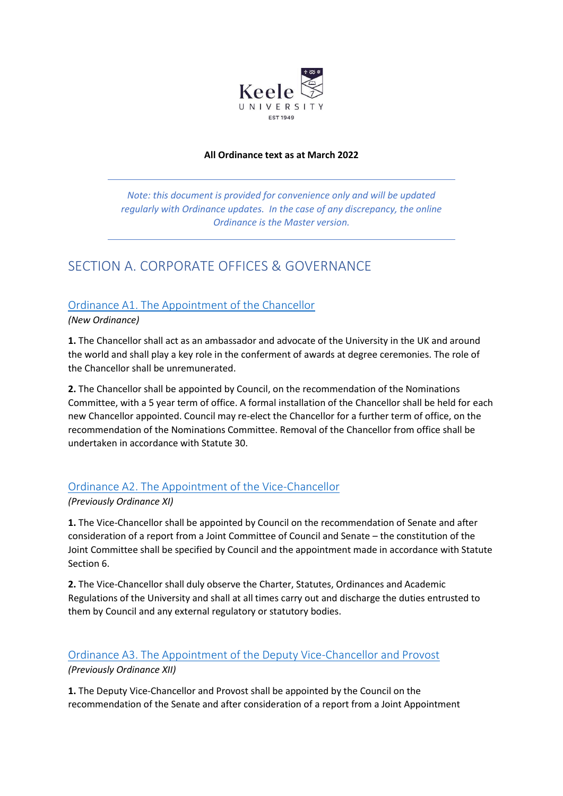

#### **All Ordinance text as at March 2022**

*Note: this document is provided for convenience only and will be updated regularly with Ordinance updates. In the case of any discrepancy, the online Ordinance is the Master version.*

# SECTION A. CORPORATE OFFICES & GOVERNANCE

# [Ordinance A1. The Appointment of the Chancellor](https://www.keele.ac.uk/legalgovernancecompliance/governance/actcharterstatutesordinancesandregulations/universityordinances/#ordinance-a1.-the-appointment-of-the-chancellor)

*(New Ordinance)*

**1.** The Chancellor shall act as an ambassador and advocate of the University in the UK and around the world and shall play a key role in the conferment of awards at degree ceremonies. The role of the Chancellor shall be unremunerated.

**2.** The Chancellor shall be appointed by Council, on the recommendation of the Nominations Committee, with a 5 year term of office. A formal installation of the Chancellor shall be held for each new Chancellor appointed. Council may re-elect the Chancellor for a further term of office, on the recommendation of the Nominations Committee. Removal of the Chancellor from office shall be undertaken in accordance with Statute 30.

# [Ordinance A2. The Appointment of the Vice-Chancellor](https://www.keele.ac.uk/legalgovernancecompliance/governance/actcharterstatutesordinancesandregulations/universityordinances/#ordinance-a2.-the-appointment-of-the-vice-chancellor)

### *(Previously Ordinance XI)*

**1.** The Vice-Chancellor shall be appointed by Council on the recommendation of Senate and after consideration of a report from a Joint Committee of Council and Senate – the constitution of the Joint Committee shall be specified by Council and the appointment made in accordance with Statute Section 6.

**2.** The Vice-Chancellor shall duly observe the Charter, Statutes, Ordinances and Academic Regulations of the University and shall at all times carry out and discharge the duties entrusted to them by Council and any external regulatory or statutory bodies.

# [Ordinance A3. The Appointment of the Deputy Vice-Chancellor and Provost](https://www.keele.ac.uk/legalgovernancecompliance/governance/actcharterstatutesordinancesandregulations/universityordinances/#ordinance-a3.-the-appointment-of-the-deputy-vice-chancellor-and-provost)

*(Previously Ordinance XII)*

**1.** The Deputy Vice-Chancellor and Provost shall be appointed by the Council on the recommendation of the Senate and after consideration of a report from a Joint Appointment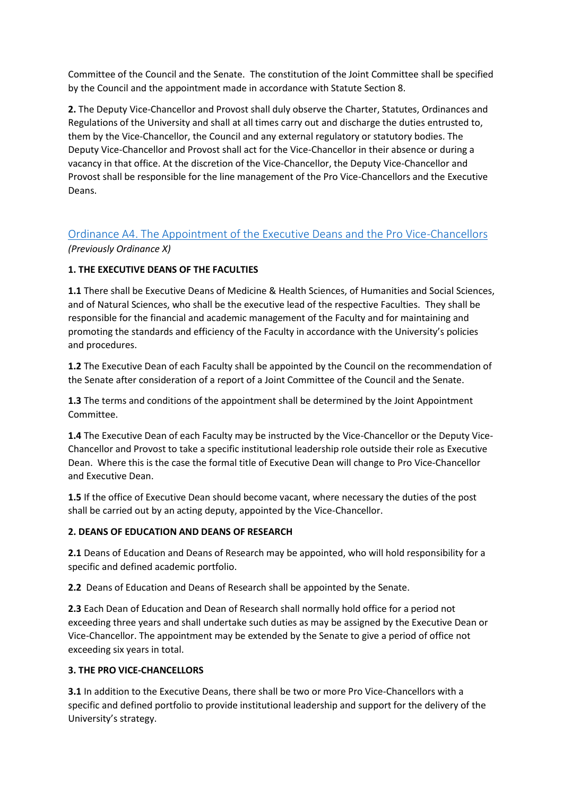Committee of the Council and the Senate. The constitution of the Joint Committee shall be specified by the Council and the appointment made in accordance with Statute Section 8.

**2.** The Deputy Vice-Chancellor and Provost shall duly observe the Charter, Statutes, Ordinances and Regulations of the University and shall at all times carry out and discharge the duties entrusted to, them by the Vice-Chancellor, the Council and any external regulatory or statutory bodies. The Deputy Vice-Chancellor and Provost shall act for the Vice-Chancellor in their absence or during a vacancy in that office. At the discretion of the Vice-Chancellor, the Deputy Vice-Chancellor and Provost shall be responsible for the line management of the Pro Vice-Chancellors and the Executive Deans.

# [Ordinance A4. The Appointment of the Executive Deans and the Pro Vice-Chancellors](https://www.keele.ac.uk/legalgovernancecompliance/governance/actcharterstatutesordinancesandregulations/universityordinances/#ordinance-a4.-the-appointment-of-the-executive-deans-and-the-pro-vice-chancellors)  *(Previously Ordinance X)*

## **1. THE EXECUTIVE DEANS OF THE FACULTIES**

**1.1** There shall be Executive Deans of Medicine & Health Sciences, of Humanities and Social Sciences, and of Natural Sciences, who shall be the executive lead of the respective Faculties. They shall be responsible for the financial and academic management of the Faculty and for maintaining and promoting the standards and efficiency of the Faculty in accordance with the University's policies and procedures.

**1.2** The Executive Dean of each Faculty shall be appointed by the Council on the recommendation of the Senate after consideration of a report of a Joint Committee of the Council and the Senate.

**1.3** The terms and conditions of the appointment shall be determined by the Joint Appointment Committee.

**1.4** The Executive Dean of each Faculty may be instructed by the Vice-Chancellor or the Deputy Vice-Chancellor and Provost to take a specific institutional leadership role outside their role as Executive Dean. Where this is the case the formal title of Executive Dean will change to Pro Vice-Chancellor and Executive Dean.

**1.5** If the office of Executive Dean should become vacant, where necessary the duties of the post shall be carried out by an acting deputy, appointed by the Vice-Chancellor.

### **2. DEANS OF EDUCATION AND DEANS OF RESEARCH**

**2.1** Deans of Education and Deans of Research may be appointed, who will hold responsibility for a specific and defined academic portfolio.

**2.2** Deans of Education and Deans of Research shall be appointed by the Senate.

**2.3** Each Dean of Education and Dean of Research shall normally hold office for a period not exceeding three years and shall undertake such duties as may be assigned by the Executive Dean or Vice-Chancellor. The appointment may be extended by the Senate to give a period of office not exceeding six years in total.

### **3. THE PRO VICE-CHANCELLORS**

**3.1** In addition to the Executive Deans, there shall be two or more Pro Vice-Chancellors with a specific and defined portfolio to provide institutional leadership and support for the delivery of the University's strategy.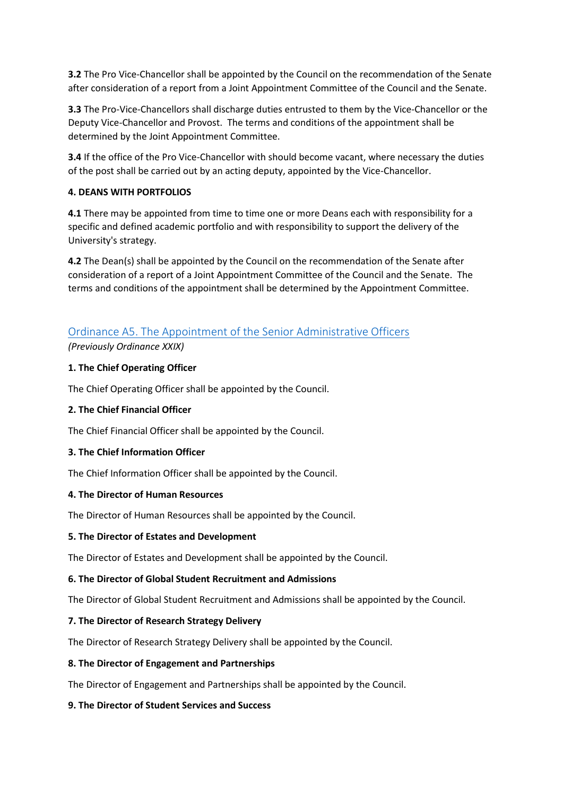**3.2** The Pro Vice-Chancellor shall be appointed by the Council on the recommendation of the Senate after consideration of a report from a Joint Appointment Committee of the Council and the Senate.

**3.3** The Pro-Vice-Chancellors shall discharge duties entrusted to them by the Vice-Chancellor or the Deputy Vice-Chancellor and Provost. The terms and conditions of the appointment shall be determined by the Joint Appointment Committee.

**3.4** If the office of the Pro Vice-Chancellor with should become vacant, where necessary the duties of the post shall be carried out by an acting deputy, appointed by the Vice-Chancellor.

## **4. DEANS WITH PORTFOLIOS**

**4.1** There may be appointed from time to time one or more Deans each with responsibility for a specific and defined academic portfolio and with responsibility to support the delivery of the University's strategy.

**4.2** The Dean(s) shall be appointed by the Council on the recommendation of the Senate after consideration of a report of a Joint Appointment Committee of the Council and the Senate. The terms and conditions of the appointment shall be determined by the Appointment Committee.

# [Ordinance A5. The Appointment of the Senior Administrative Officers](https://www.keele.ac.uk/legalgovernancecompliance/governance/actcharterstatutesordinancesandregulations/universityordinances/#ordinance-a5.-the-appointment-of-the-senior-administrative-officers)

*(Previously Ordinance XXIX)*

### **1. The Chief Operating Officer**

The Chief Operating Officer shall be appointed by the Council.

#### **2. The Chief Financial Officer**

The Chief Financial Officer shall be appointed by the Council.

### **3. The Chief Information Officer**

The Chief Information Officer shall be appointed by the Council.

#### **4. The Director of Human Resources**

The Director of Human Resources shall be appointed by the Council.

#### **5. The Director of Estates and Development**

The Director of Estates and Development shall be appointed by the Council.

#### **6. The Director of Global Student Recruitment and Admissions**

The Director of Global Student Recruitment and Admissions shall be appointed by the Council.

### **7. The Director of Research Strategy Delivery**

The Director of Research Strategy Delivery shall be appointed by the Council.

#### **8. The Director of Engagement and Partnerships**

The Director of Engagement and Partnerships shall be appointed by the Council.

#### **9. The Director of Student Services and Success**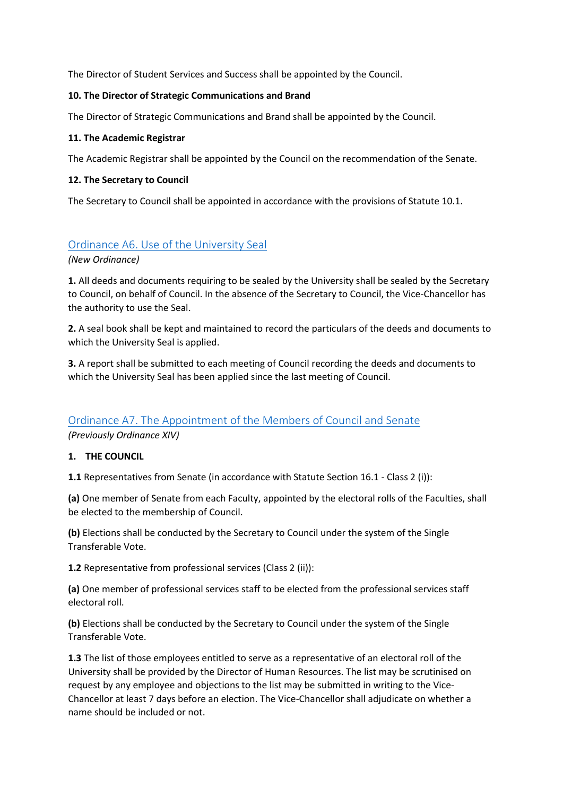The Director of Student Services and Success shall be appointed by the Council.

#### **10. The Director of Strategic Communications and Brand**

The Director of Strategic Communications and Brand shall be appointed by the Council.

#### **11. The Academic Registrar**

The Academic Registrar shall be appointed by the Council on the recommendation of the Senate.

#### **12. The Secretary to Council**

The Secretary to Council shall be appointed in accordance with the provisions of Statute 10.1.

# [Ordinance A6. Use of the University Seal](https://www.keele.ac.uk/legalgovernancecompliance/governance/actcharterstatutesordinancesandregulations/universityordinances/#ordinance-a6.-use-of-the-university-seal)

*(New Ordinance)*

**1.** All deeds and documents requiring to be sealed by the University shall be sealed by the Secretary to Council, on behalf of Council. In the absence of the Secretary to Council, the Vice-Chancellor has the authority to use the Seal.

**2.** A seal book shall be kept and maintained to record the particulars of the deeds and documents to which the University Seal is applied.

**3.** A report shall be submitted to each meeting of Council recording the deeds and documents to which the University Seal has been applied since the last meeting of Council.

## Ordinance A7. The [Appointment of the Members of Council and Senate](https://www.keele.ac.uk/legalgovernancecompliance/governance/actcharterstatutesordinancesandregulations/universityordinances/#ordinance-a7.-the-appointment-of-the-members-of-council-and-senate)  *(Previously Ordinance XIV)*

## **1. THE COUNCIL**

**1.1** Representatives from Senate (in accordance with Statute Section 16.1 - Class 2 (i)):

**(a)** One member of Senate from each Faculty, appointed by the electoral rolls of the Faculties, shall be elected to the membership of Council.

**(b)** Elections shall be conducted by the Secretary to Council under the system of the Single Transferable Vote.

**1.2** Representative from professional services (Class 2 (ii)):

**(a)** One member of professional services staff to be elected from the professional services staff electoral roll.

**(b)** Elections shall be conducted by the Secretary to Council under the system of the Single Transferable Vote.

**1.3** The list of those employees entitled to serve as a representative of an electoral roll of the University shall be provided by the Director of Human Resources. The list may be scrutinised on request by any employee and objections to the list may be submitted in writing to the Vice-Chancellor at least 7 days before an election. The Vice-Chancellor shall adjudicate on whether a name should be included or not.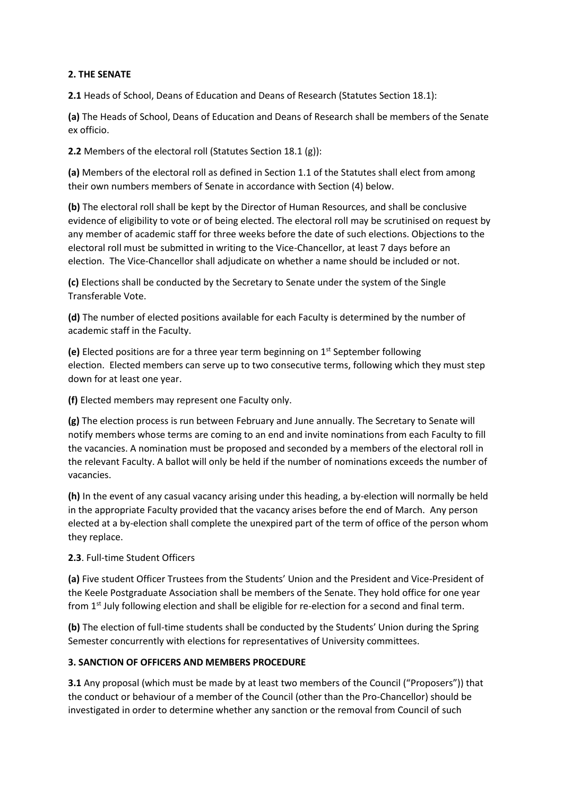#### **2. THE SENATE**

**2.1** Heads of School, Deans of Education and Deans of Research (Statutes Section 18.1):

**(a)** The Heads of School, Deans of Education and Deans of Research shall be members of the Senate ex officio.

**2.2** Members of the electoral roll (Statutes Section 18.1 (g)):

**(a)** Members of the electoral roll as defined in Section 1.1 of the Statutes shall elect from among their own numbers members of Senate in accordance with Section (4) below.

**(b)** The electoral roll shall be kept by the Director of Human Resources, and shall be conclusive evidence of eligibility to vote or of being elected. The electoral roll may be scrutinised on request by any member of academic staff for three weeks before the date of such elections. Objections to the electoral roll must be submitted in writing to the Vice-Chancellor, at least 7 days before an election. The Vice-Chancellor shall adjudicate on whether a name should be included or not.

**(c)** Elections shall be conducted by the Secretary to Senate under the system of the Single Transferable Vote.

**(d)** The number of elected positions available for each Faculty is determined by the number of academic staff in the Faculty.

**(e)** Elected positions are for a three year term beginning on 1st September following election. Elected members can serve up to two consecutive terms, following which they must step down for at least one year.

**(f)** Elected members may represent one Faculty only.

**(g)** The election process is run between February and June annually. The Secretary to Senate will notify members whose terms are coming to an end and invite nominations from each Faculty to fill the vacancies. A nomination must be proposed and seconded by a members of the electoral roll in the relevant Faculty. A ballot will only be held if the number of nominations exceeds the number of vacancies.

**(h)** In the event of any casual vacancy arising under this heading, a by-election will normally be held in the appropriate Faculty provided that the vacancy arises before the end of March. Any person elected at a by-election shall complete the unexpired part of the term of office of the person whom they replace.

### **2.3**. Full-time Student Officers

**(a)** Five student Officer Trustees from the Students' Union and the President and Vice-President of the Keele Postgraduate Association shall be members of the Senate. They hold office for one year from 1<sup>st</sup> July following election and shall be eligible for re-election for a second and final term.

**(b)** The election of full-time students shall be conducted by the Students' Union during the Spring Semester concurrently with elections for representatives of University committees.

### **3. SANCTION OF OFFICERS AND MEMBERS PROCEDURE**

**3.1** Any proposal (which must be made by at least two members of the Council ("Proposers")) that the conduct or behaviour of a member of the Council (other than the Pro-Chancellor) should be investigated in order to determine whether any sanction or the removal from Council of such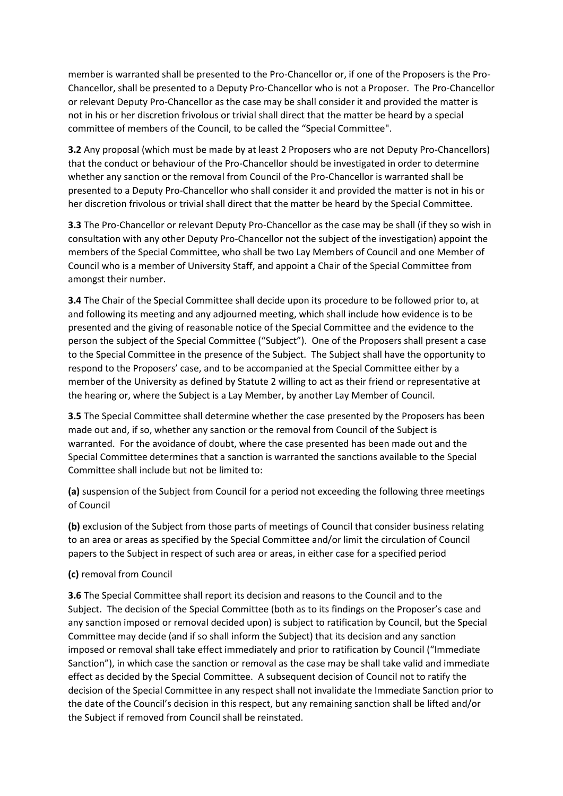member is warranted shall be presented to the Pro-Chancellor or, if one of the Proposers is the Pro-Chancellor, shall be presented to a Deputy Pro-Chancellor who is not a Proposer. The Pro-Chancellor or relevant Deputy Pro-Chancellor as the case may be shall consider it and provided the matter is not in his or her discretion frivolous or trivial shall direct that the matter be heard by a special committee of members of the Council, to be called the "Special Committee".

**3.2** Any proposal (which must be made by at least 2 Proposers who are not Deputy Pro-Chancellors) that the conduct or behaviour of the Pro-Chancellor should be investigated in order to determine whether any sanction or the removal from Council of the Pro-Chancellor is warranted shall be presented to a Deputy Pro-Chancellor who shall consider it and provided the matter is not in his or her discretion frivolous or trivial shall direct that the matter be heard by the Special Committee.

**3.3** The Pro-Chancellor or relevant Deputy Pro-Chancellor as the case may be shall (if they so wish in consultation with any other Deputy Pro-Chancellor not the subject of the investigation) appoint the members of the Special Committee, who shall be two Lay Members of Council and one Member of Council who is a member of University Staff, and appoint a Chair of the Special Committee from amongst their number.

**3.4** The Chair of the Special Committee shall decide upon its procedure to be followed prior to, at and following its meeting and any adjourned meeting, which shall include how evidence is to be presented and the giving of reasonable notice of the Special Committee and the evidence to the person the subject of the Special Committee ("Subject"). One of the Proposers shall present a case to the Special Committee in the presence of the Subject. The Subject shall have the opportunity to respond to the Proposers' case, and to be accompanied at the Special Committee either by a member of the University as defined by Statute 2 willing to act as their friend or representative at the hearing or, where the Subject is a Lay Member, by another Lay Member of Council.

**3.5** The Special Committee shall determine whether the case presented by the Proposers has been made out and, if so, whether any sanction or the removal from Council of the Subject is warranted. For the avoidance of doubt, where the case presented has been made out and the Special Committee determines that a sanction is warranted the sanctions available to the Special Committee shall include but not be limited to:

**(a)** suspension of the Subject from Council for a period not exceeding the following three meetings of Council

**(b)** exclusion of the Subject from those parts of meetings of Council that consider business relating to an area or areas as specified by the Special Committee and/or limit the circulation of Council papers to the Subject in respect of such area or areas, in either case for a specified period

### **(c)** removal from Council

**3.6** The Special Committee shall report its decision and reasons to the Council and to the Subject. The decision of the Special Committee (both as to its findings on the Proposer's case and any sanction imposed or removal decided upon) is subject to ratification by Council, but the Special Committee may decide (and if so shall inform the Subject) that its decision and any sanction imposed or removal shall take effect immediately and prior to ratification by Council ("Immediate Sanction"), in which case the sanction or removal as the case may be shall take valid and immediate effect as decided by the Special Committee. A subsequent decision of Council not to ratify the decision of the Special Committee in any respect shall not invalidate the Immediate Sanction prior to the date of the Council's decision in this respect, but any remaining sanction shall be lifted and/or the Subject if removed from Council shall be reinstated.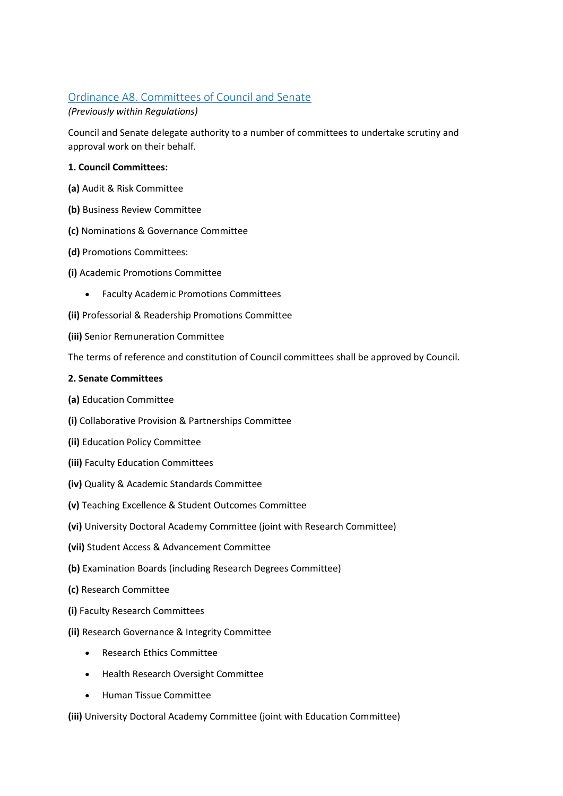# [Ordinance A8. Committees of Council and Senate](https://www.keele.ac.uk/legalgovernancecompliance/governance/actcharterstatutesordinancesandregulations/universityordinances/#ordinance-a8.-committees-of-council-and-senate)

## *(Previously within Regulations)*

Council and Senate delegate authority to a number of committees to undertake scrutiny and approval work on their behalf.

## **1. Council Committees:**

- **(a)** Audit & Risk Committee
- **(b)** Business Review Committee
- **(c)** Nominations & Governance Committee
- **(d)** Promotions Committees:
- **(i)** Academic Promotions Committee
	- Faculty Academic Promotions Committees
- **(ii)** Professorial & Readership Promotions Committee
- **(iii)** Senior Remuneration Committee

The terms of reference and constitution of Council committees shall be approved by Council.

### **2. Senate Committees**

- **(a)** Education Committee
- **(i)** Collaborative Provision & Partnerships Committee
- **(ii)** Education Policy Committee
- **(iii)** Faculty Education Committees
- **(iv)** Quality & Academic Standards Committee
- **(v)** Teaching Excellence & Student Outcomes Committee
- **(vi)** University Doctoral Academy Committee (joint with Research Committee)
- **(vii)** Student Access & Advancement Committee
- **(b)** Examination Boards (including Research Degrees Committee)
- **(c)** Research Committee
- **(i)** Faculty Research Committees
- **(ii)** Research Governance & Integrity Committee
	- Research Ethics Committee
	- Health Research Oversight Committee
	- Human Tissue Committee

**(iii)** University Doctoral Academy Committee (joint with Education Committee)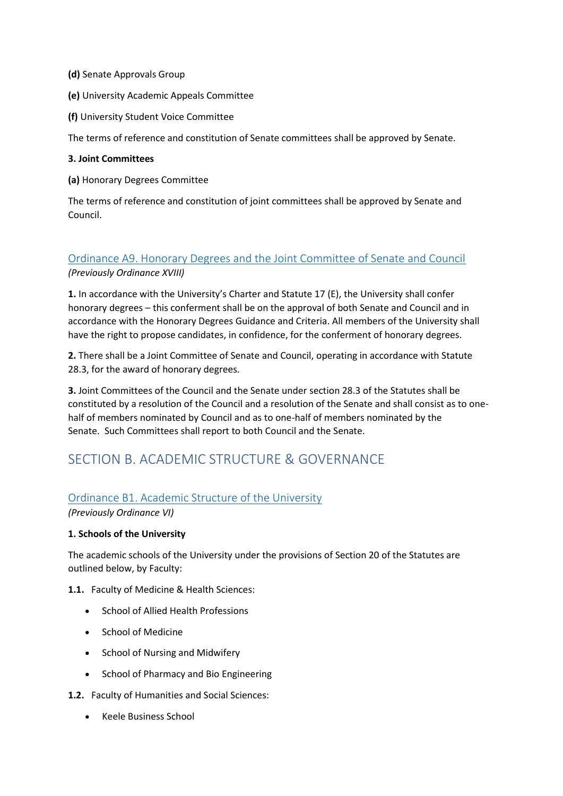- **(d)** Senate Approvals Group
- **(e)** University Academic Appeals Committee
- **(f)** University Student Voice Committee

The terms of reference and constitution of Senate committees shall be approved by Senate.

#### **3. Joint Committees**

**(a)** Honorary Degrees Committee

The terms of reference and constitution of joint committees shall be approved by Senate and Council.

# [Ordinance A9. Honorary Degrees and the Joint Committee of Senate and Council](https://www.keele.ac.uk/legalgovernancecompliance/governance/actcharterstatutesordinancesandregulations/universityordinances/#ordinance-a9.-honorary-degrees-and-the-joint-committee-of-senate-and-council)  *(Previously Ordinance XVIII)*

**1.** In accordance with the University's Charter and Statute 17 (E), the University shall confer honorary degrees – this conferment shall be on the approval of both Senate and Council and in accordance with the Honorary Degrees Guidance and Criteria. All members of the University shall have the right to propose candidates, in confidence, for the conferment of honorary degrees.

**2.** There shall be a Joint Committee of Senate and Council, operating in accordance with Statute 28.3, for the award of honorary degrees.

**3.** Joint Committees of the Council and the Senate under section 28.3 of the Statutes shall be constituted by a resolution of the Council and a resolution of the Senate and shall consist as to onehalf of members nominated by Council and as to one-half of members nominated by the Senate. Such Committees shall report to both Council and the Senate.

# SECTION B. ACADEMIC STRUCTURE & GOVERNANCE

### [Ordinance B1. Academic Structure of the University](https://www.keele.ac.uk/legalgovernancecompliance/governance/actcharterstatutesordinancesandregulations/universityordinances/#ordinance-b1.-academic-structure-of-the-university)

*(Previously Ordinance VI)*

### **1. Schools of the University**

The academic schools of the University under the provisions of Section 20 of the Statutes are outlined below, by Faculty:

**1.1.** Faculty of Medicine & Health Sciences:

- School of Allied Health Professions
- School of Medicine
- School of Nursing and Midwifery
- School of Pharmacy and Bio Engineering

**1.2.** Faculty of Humanities and Social Sciences:

• Keele Business School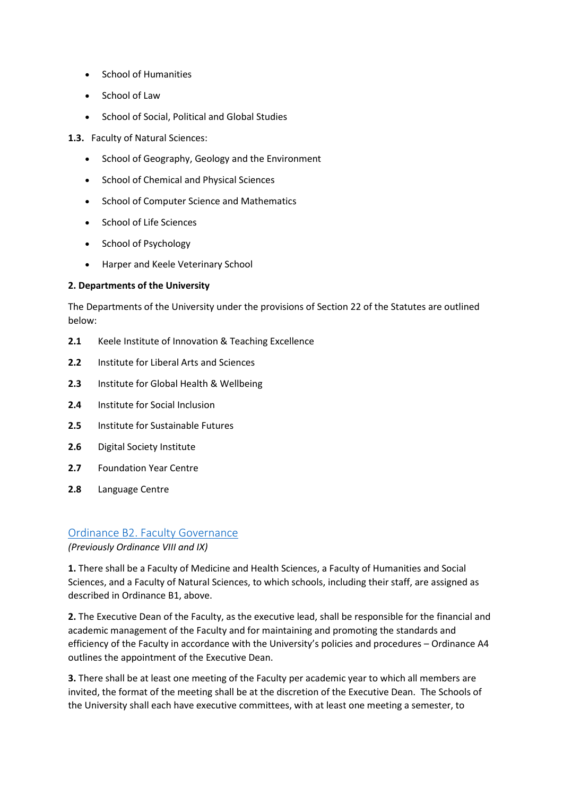- School of Humanities
- School of Law
- School of Social, Political and Global Studies

**1.3.** Faculty of Natural Sciences:

- School of Geography, Geology and the Environment
- School of Chemical and Physical Sciences
- School of Computer Science and Mathematics
- School of Life Sciences
- School of Psychology
- Harper and Keele Veterinary School

### **2. Departments of the University**

The Departments of the University under the provisions of Section 22 of the Statutes are outlined below:

- **2.1** Keele Institute of Innovation & Teaching Excellence
- **2.2** Institute for Liberal Arts and Sciences
- **2.3** Institute for Global Health & Wellbeing
- **2.4** Institute for Social Inclusion
- **2.5** Institute for Sustainable Futures
- **2.6** Digital Society Institute
- **2.7** Foundation Year Centre
- **2.8** Language Centre

# [Ordinance B2. Faculty Governance](https://www.keele.ac.uk/legalgovernancecompliance/governance/actcharterstatutesordinancesandregulations/universityordinances/#ordinance-b2.-faculty-governance)

### *(Previously Ordinance VIII and IX)*

**1.** There shall be a Faculty of Medicine and Health Sciences, a Faculty of Humanities and Social Sciences, and a Faculty of Natural Sciences, to which schools, including their staff, are assigned as described in Ordinance B1, above.

**2.** The Executive Dean of the Faculty, as the executive lead, shall be responsible for the financial and academic management of the Faculty and for maintaining and promoting the standards and efficiency of the Faculty in accordance with the University's policies and procedures – Ordinance A4 outlines the appointment of the Executive Dean.

**3.** There shall be at least one meeting of the Faculty per academic year to which all members are invited, the format of the meeting shall be at the discretion of the Executive Dean. The Schools of the University shall each have executive committees, with at least one meeting a semester, to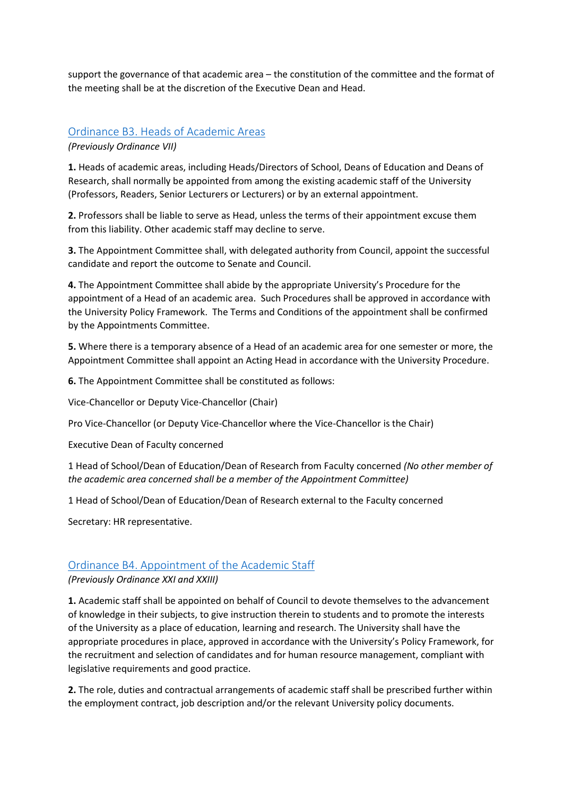support the governance of that academic area – the constitution of the committee and the format of the meeting shall be at the discretion of the Executive Dean and Head.

## [Ordinance B3. Heads of Academic Areas](https://www.keele.ac.uk/legalgovernancecompliance/governance/actcharterstatutesordinancesandregulations/universityordinances/#ordinance-b3.-heads-of-academic-areas)  *(Previously Ordinance VII)*

**1.** Heads of academic areas, including Heads/Directors of School, Deans of Education and Deans of Research, shall normally be appointed from among the existing academic staff of the University (Professors, Readers, Senior Lecturers or Lecturers) or by an external appointment.

**2.** Professors shall be liable to serve as Head, unless the terms of their appointment excuse them from this liability. Other academic staff may decline to serve.

**3.** The Appointment Committee shall, with delegated authority from Council, appoint the successful candidate and report the outcome to Senate and Council.

**4.** The Appointment Committee shall abide by the appropriate University's Procedure for the appointment of a Head of an academic area. Such Procedures shall be approved in accordance with the University Policy Framework. The Terms and Conditions of the appointment shall be confirmed by the Appointments Committee.

**5.** Where there is a temporary absence of a Head of an academic area for one semester or more, the Appointment Committee shall appoint an Acting Head in accordance with the University Procedure.

**6.** The Appointment Committee shall be constituted as follows:

Vice-Chancellor or Deputy Vice-Chancellor (Chair)

Pro Vice-Chancellor (or Deputy Vice-Chancellor where the Vice-Chancellor is the Chair)

Executive Dean of Faculty concerned

1 Head of School/Dean of Education/Dean of Research from Faculty concerned *(No other member of the academic area concerned shall be a member of the Appointment Committee)*

1 Head of School/Dean of Education/Dean of Research external to the Faculty concerned

Secretary: HR representative.

#### [Ordinance B4. Appointment of the Academic Staff](https://www.keele.ac.uk/legalgovernancecompliance/governance/actcharterstatutesordinancesandregulations/universityordinances/#ordinance-b4.-appointment-of-the-academic-staff)

#### *(Previously Ordinance XXI and XXIII)*

**1.** Academic staff shall be appointed on behalf of Council to devote themselves to the advancement of knowledge in their subjects, to give instruction therein to students and to promote the interests of the University as a place of education, learning and research. The University shall have the appropriate procedures in place, approved in accordance with the University's Policy Framework, for the recruitment and selection of candidates and for human resource management, compliant with legislative requirements and good practice.

**2.** The role, duties and contractual arrangements of academic staff shall be prescribed further within the employment contract, job description and/or the relevant University policy documents.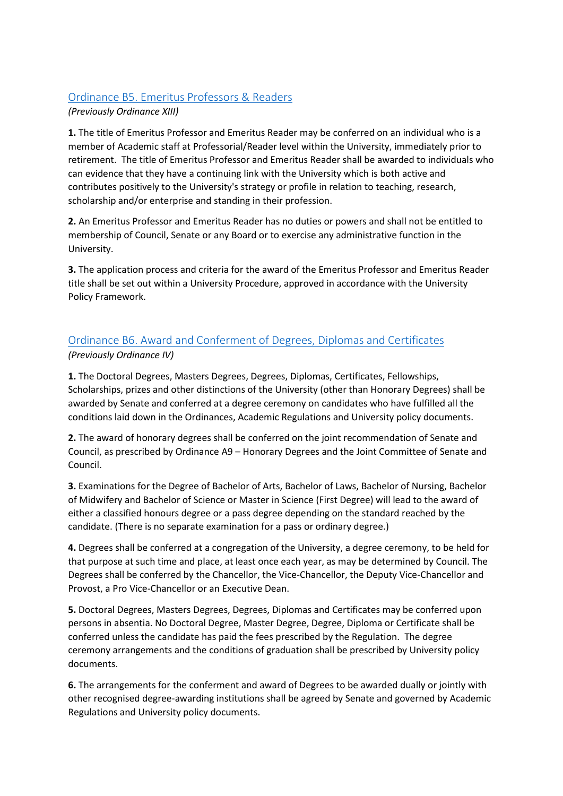# [Ordinance B5. Emeritus Professors & Readers](https://www.keele.ac.uk/legalgovernancecompliance/governance/actcharterstatutesordinancesandregulations/universityordinances/#ordinance-b5.-emeritus-professors-&-readers)

*(Previously Ordinance XIII)*

**1.** The title of Emeritus Professor and Emeritus Reader may be conferred on an individual who is a member of Academic staff at Professorial/Reader level within the University, immediately prior to retirement. The title of Emeritus Professor and Emeritus Reader shall be awarded to individuals who can evidence that they have a continuing link with the University which is both active and contributes positively to the University's strategy or profile in relation to teaching, research, scholarship and/or enterprise and standing in their profession.

**2.** An Emeritus Professor and Emeritus Reader has no duties or powers and shall not be entitled to membership of Council, Senate or any Board or to exercise any administrative function in the University.

**3.** The application process and criteria for the award of the Emeritus Professor and Emeritus Reader title shall be set out within a University Procedure, approved in accordance with the University Policy Framework.

# [Ordinance B6. Award and Conferment of Degrees, Diplomas and Certificates](https://www.keele.ac.uk/legalgovernancecompliance/governance/actcharterstatutesordinancesandregulations/universityordinances/#ordinance-b6.-award-and-conferment-of-degrees,-diplomas-and-certificates)  *(Previously Ordinance IV)*

**1.** The Doctoral Degrees, Masters Degrees, Degrees, Diplomas, Certificates, Fellowships, Scholarships, prizes and other distinctions of the University (other than Honorary Degrees) shall be awarded by Senate and conferred at a degree ceremony on candidates who have fulfilled all the conditions laid down in the Ordinances, Academic Regulations and University policy documents.

**2.** The award of honorary degrees shall be conferred on the joint recommendation of Senate and Council, as prescribed by Ordinance A9 – Honorary Degrees and the Joint Committee of Senate and Council.

**3.** Examinations for the Degree of Bachelor of Arts, Bachelor of Laws, Bachelor of Nursing, Bachelor of Midwifery and Bachelor of Science or Master in Science (First Degree) will lead to the award of either a classified honours degree or a pass degree depending on the standard reached by the candidate. (There is no separate examination for a pass or ordinary degree.)

**4.** Degrees shall be conferred at a congregation of the University, a degree ceremony, to be held for that purpose at such time and place, at least once each year, as may be determined by Council. The Degrees shall be conferred by the Chancellor, the Vice-Chancellor, the Deputy Vice-Chancellor and Provost, a Pro Vice-Chancellor or an Executive Dean.

**5.** Doctoral Degrees, Masters Degrees, Degrees, Diplomas and Certificates may be conferred upon persons in absentia. No Doctoral Degree, Master Degree, Degree, Diploma or Certificate shall be conferred unless the candidate has paid the fees prescribed by the Regulation. The degree ceremony arrangements and the conditions of graduation shall be prescribed by University policy documents.

**6.** The arrangements for the conferment and award of Degrees to be awarded dually or jointly with other recognised degree-awarding institutions shall be agreed by Senate and governed by Academic Regulations and University policy documents.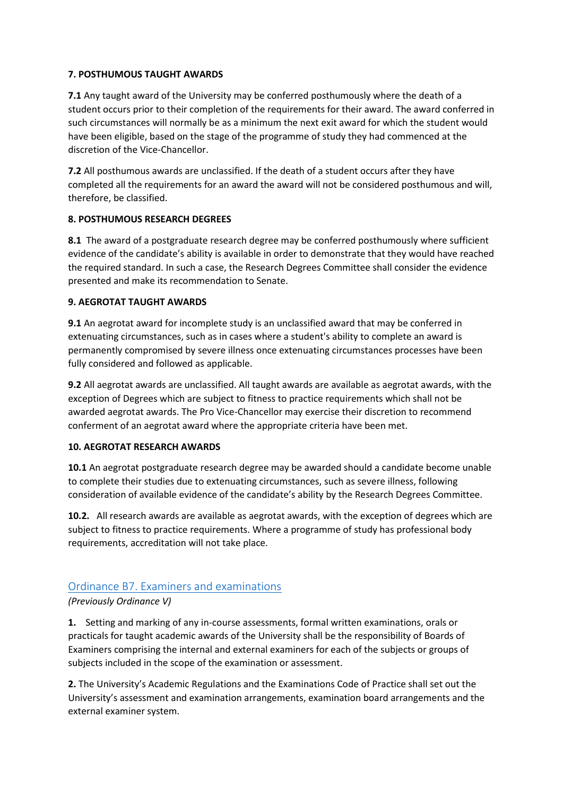#### **7. POSTHUMOUS TAUGHT AWARDS**

**7.1** Any taught award of the University may be conferred posthumously where the death of a student occurs prior to their completion of the requirements for their award. The award conferred in such circumstances will normally be as a minimum the next exit award for which the student would have been eligible, based on the stage of the programme of study they had commenced at the discretion of the Vice-Chancellor.

**7.2** All posthumous awards are unclassified. If the death of a student occurs after they have completed all the requirements for an award the award will not be considered posthumous and will, therefore, be classified.

#### **8. POSTHUMOUS RESEARCH DEGREES**

**8.1** The award of a postgraduate research degree may be conferred posthumously where sufficient evidence of the candidate's ability is available in order to demonstrate that they would have reached the required standard. In such a case, the Research Degrees Committee shall consider the evidence presented and make its recommendation to Senate.

#### **9. AEGROTAT TAUGHT AWARDS**

**9.1** An aegrotat award for incomplete study is an unclassified award that may be conferred in extenuating circumstances, such as in cases where a student's ability to complete an award is permanently compromised by severe illness once extenuating circumstances processes have been fully considered and followed as applicable.

**9.2** All aegrotat awards are unclassified. All taught awards are available as aegrotat awards, with the exception of Degrees which are subject to fitness to practice requirements which shall not be awarded aegrotat awards. The Pro Vice-Chancellor may exercise their discretion to recommend conferment of an aegrotat award where the appropriate criteria have been met.

#### **10. AEGROTAT RESEARCH AWARDS**

**10.1** An aegrotat postgraduate research degree may be awarded should a candidate become unable to complete their studies due to extenuating circumstances, such as severe illness, following consideration of available evidence of the candidate's ability by the Research Degrees Committee.

**10.2.** All research awards are available as aegrotat awards, with the exception of degrees which are subject to fitness to practice requirements. Where a programme of study has professional body requirements, accreditation will not take place.

# [Ordinance B7. Examiners and examinations](https://www.keele.ac.uk/legalgovernancecompliance/governance/actcharterstatutesordinancesandregulations/universityordinances/#ordinance-b7.-examiners-and-examinations)

### *(Previously Ordinance V)*

**1.** Setting and marking of any in-course assessments, formal written examinations, orals or practicals for taught academic awards of the University shall be the responsibility of Boards of Examiners comprising the internal and external examiners for each of the subjects or groups of subjects included in the scope of the examination or assessment.

**2.** The University's Academic Regulations and the Examinations Code of Practice shall set out the University's assessment and examination arrangements, examination board arrangements and the external examiner system.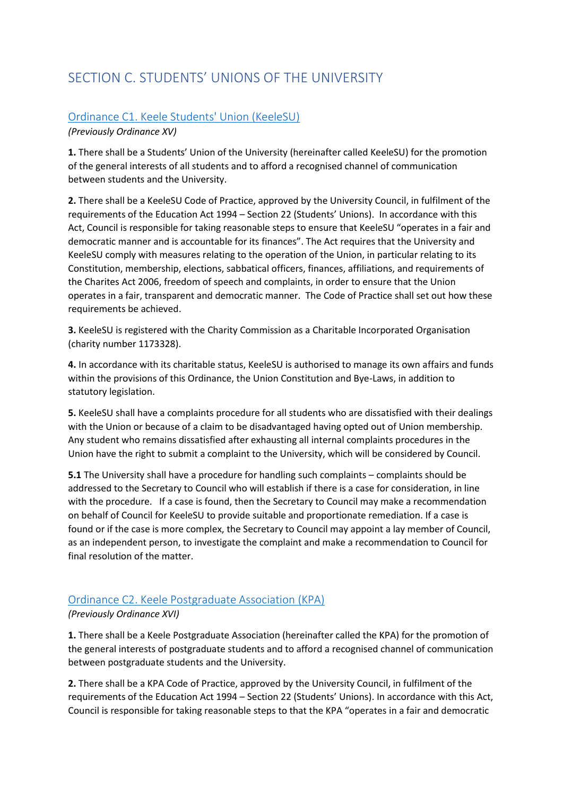# SECTION C. STUDENTS' UNIONS OF THE UNIVERSITY

# [Ordinance C1. Keele Students' Union \(KeeleSU\)](https://www.keele.ac.uk/legalgovernancecompliance/governance/actcharterstatutesordinancesandregulations/universityordinances/#ordinance-c1.-keele-students)

*(Previously Ordinance XV)*

**1.** There shall be a Students' Union of the University (hereinafter called KeeleSU) for the promotion of the general interests of all students and to afford a recognised channel of communication between students and the University.

**2.** There shall be a KeeleSU Code of Practice, approved by the University Council, in fulfilment of the requirements of the Education Act 1994 – Section 22 (Students' Unions). In accordance with this Act, Council is responsible for taking reasonable steps to ensure that KeeleSU "operates in a fair and democratic manner and is accountable for its finances". The Act requires that the University and KeeleSU comply with measures relating to the operation of the Union, in particular relating to its Constitution, membership, elections, sabbatical officers, finances, affiliations, and requirements of the Charites Act 2006, freedom of speech and complaints, in order to ensure that the Union operates in a fair, transparent and democratic manner. The Code of Practice shall set out how these requirements be achieved.

**3.** KeeleSU is registered with the Charity Commission as a Charitable Incorporated Organisation (charity number 1173328).

**4.** In accordance with its charitable status, KeeleSU is authorised to manage its own affairs and funds within the provisions of this Ordinance, the Union Constitution and Bye-Laws, in addition to statutory legislation.

**5.** KeeleSU shall have a complaints procedure for all students who are dissatisfied with their dealings with the Union or because of a claim to be disadvantaged having opted out of Union membership. Any student who remains dissatisfied after exhausting all internal complaints procedures in the Union have the right to submit a complaint to the University, which will be considered by Council.

**5.1** The University shall have a procedure for handling such complaints – complaints should be addressed to the Secretary to Council who will establish if there is a case for consideration, in line with the procedure. If a case is found, then the Secretary to Council may make a recommendation on behalf of Council for KeeleSU to provide suitable and proportionate remediation. If a case is found or if the case is more complex, the Secretary to Council may appoint a lay member of Council, as an independent person, to investigate the complaint and make a recommendation to Council for final resolution of the matter.

# [Ordinance C2. Keele Postgraduate Association \(KPA\)](https://www.keele.ac.uk/legalgovernancecompliance/governance/actcharterstatutesordinancesandregulations/universityordinances/#ordinance-c2.-keele-postgraduate-association-(kpa))

### *(Previously Ordinance XVI)*

**1.** There shall be a Keele Postgraduate Association (hereinafter called the KPA) for the promotion of the general interests of postgraduate students and to afford a recognised channel of communication between postgraduate students and the University.

**2.** There shall be a KPA Code of Practice, approved by the University Council, in fulfilment of the requirements of the Education Act 1994 – Section 22 (Students' Unions). In accordance with this Act, Council is responsible for taking reasonable steps to that the KPA "operates in a fair and democratic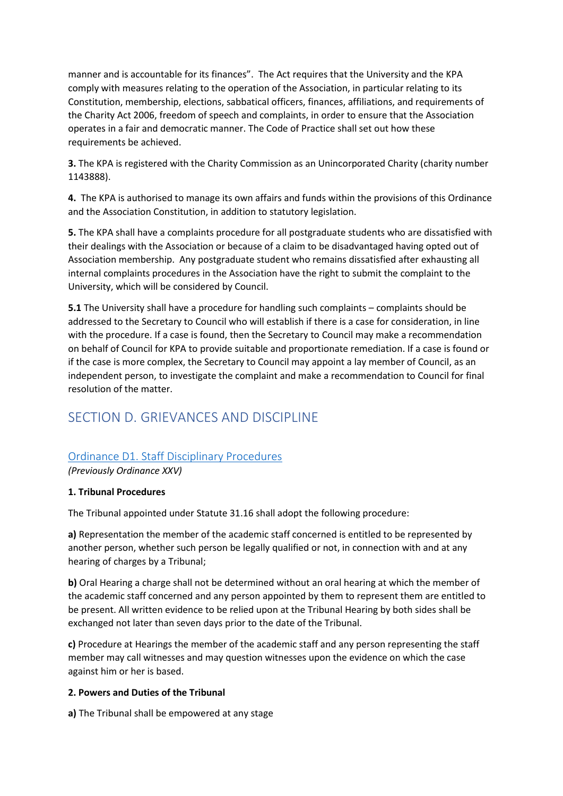manner and is accountable for its finances". The Act requires that the University and the KPA comply with measures relating to the operation of the Association, in particular relating to its Constitution, membership, elections, sabbatical officers, finances, affiliations, and requirements of the Charity Act 2006, freedom of speech and complaints, in order to ensure that the Association operates in a fair and democratic manner. The Code of Practice shall set out how these requirements be achieved.

**3.** The KPA is registered with the Charity Commission as an Unincorporated Charity (charity number 1143888).

**4.** The KPA is authorised to manage its own affairs and funds within the provisions of this Ordinance and the Association Constitution, in addition to statutory legislation.

**5.** The KPA shall have a complaints procedure for all postgraduate students who are dissatisfied with their dealings with the Association or because of a claim to be disadvantaged having opted out of Association membership. Any postgraduate student who remains dissatisfied after exhausting all internal complaints procedures in the Association have the right to submit the complaint to the University, which will be considered by Council.

**5.1** The University shall have a procedure for handling such complaints – complaints should be addressed to the Secretary to Council who will establish if there is a case for consideration, in line with the procedure. If a case is found, then the Secretary to Council may make a recommendation on behalf of Council for KPA to provide suitable and proportionate remediation. If a case is found or if the case is more complex, the Secretary to Council may appoint a lay member of Council, as an independent person, to investigate the complaint and make a recommendation to Council for final resolution of the matter.

# SECTION D. GRIEVANCES AND DISCIPLINE

# [Ordinance D1. Staff Disciplinary Procedures](https://www.keele.ac.uk/legalgovernancecompliance/governance/actcharterstatutesordinancesandregulations/universityordinances/#ordinance-d1.-staff-disciplinary-procedures)

*(Previously Ordinance XXV)*

### **1. Tribunal Procedures**

The Tribunal appointed under Statute 31.16 shall adopt the following procedure:

**a)** Representation the member of the academic staff concerned is entitled to be represented by another person, whether such person be legally qualified or not, in connection with and at any hearing of charges by a Tribunal;

**b)** Oral Hearing a charge shall not be determined without an oral hearing at which the member of the academic staff concerned and any person appointed by them to represent them are entitled to be present. All written evidence to be relied upon at the Tribunal Hearing by both sides shall be exchanged not later than seven days prior to the date of the Tribunal.

**c)** Procedure at Hearings the member of the academic staff and any person representing the staff member may call witnesses and may question witnesses upon the evidence on which the case against him or her is based.

### **2. Powers and Duties of the Tribunal**

**a)** The Tribunal shall be empowered at any stage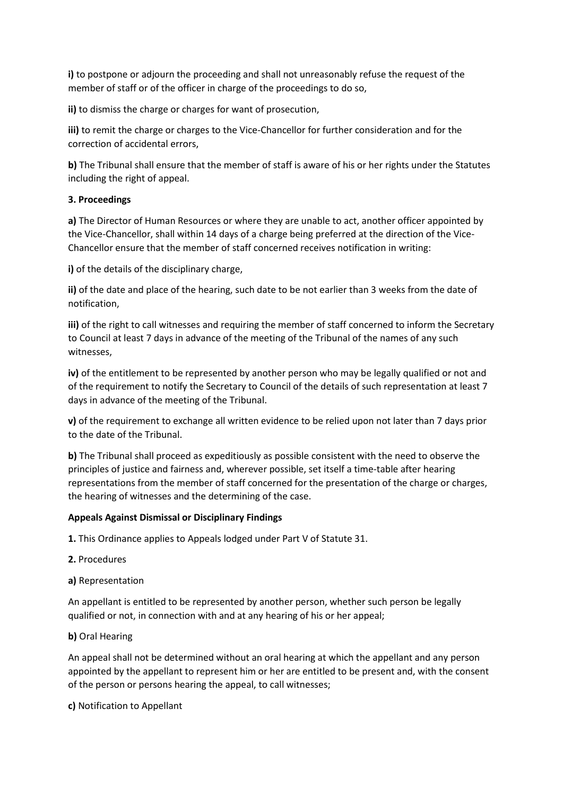**i)** to postpone or adjourn the proceeding and shall not unreasonably refuse the request of the member of staff or of the officer in charge of the proceedings to do so,

**ii)** to dismiss the charge or charges for want of prosecution,

**iii)** to remit the charge or charges to the Vice-Chancellor for further consideration and for the correction of accidental errors,

**b)** The Tribunal shall ensure that the member of staff is aware of his or her rights under the Statutes including the right of appeal.

#### **3. Proceedings**

**a)** The Director of Human Resources or where they are unable to act, another officer appointed by the Vice-Chancellor, shall within 14 days of a charge being preferred at the direction of the Vice-Chancellor ensure that the member of staff concerned receives notification in writing:

**i)** of the details of the disciplinary charge,

**ii)** of the date and place of the hearing, such date to be not earlier than 3 weeks from the date of notification,

**iii)** of the right to call witnesses and requiring the member of staff concerned to inform the Secretary to Council at least 7 days in advance of the meeting of the Tribunal of the names of any such witnesses,

**iv)** of the entitlement to be represented by another person who may be legally qualified or not and of the requirement to notify the Secretary to Council of the details of such representation at least 7 days in advance of the meeting of the Tribunal.

**v)** of the requirement to exchange all written evidence to be relied upon not later than 7 days prior to the date of the Tribunal.

**b)** The Tribunal shall proceed as expeditiously as possible consistent with the need to observe the principles of justice and fairness and, wherever possible, set itself a time-table after hearing representations from the member of staff concerned for the presentation of the charge or charges, the hearing of witnesses and the determining of the case.

#### **Appeals Against Dismissal or Disciplinary Findings**

**1.** This Ordinance applies to Appeals lodged under Part V of Statute 31.

- **2.** Procedures
- **a)** Representation

An appellant is entitled to be represented by another person, whether such person be legally qualified or not, in connection with and at any hearing of his or her appeal;

**b)** Oral Hearing

An appeal shall not be determined without an oral hearing at which the appellant and any person appointed by the appellant to represent him or her are entitled to be present and, with the consent of the person or persons hearing the appeal, to call witnesses;

**c)** Notification to Appellant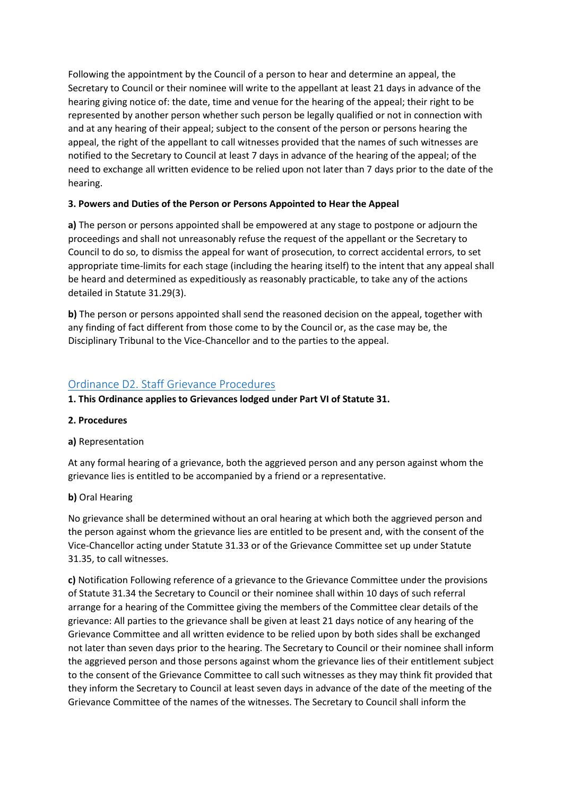Following the appointment by the Council of a person to hear and determine an appeal, the Secretary to Council or their nominee will write to the appellant at least 21 days in advance of the hearing giving notice of: the date, time and venue for the hearing of the appeal; their right to be represented by another person whether such person be legally qualified or not in connection with and at any hearing of their appeal; subject to the consent of the person or persons hearing the appeal, the right of the appellant to call witnesses provided that the names of such witnesses are notified to the Secretary to Council at least 7 days in advance of the hearing of the appeal; of the need to exchange all written evidence to be relied upon not later than 7 days prior to the date of the hearing.

### **3. Powers and Duties of the Person or Persons Appointed to Hear the Appeal**

**a)** The person or persons appointed shall be empowered at any stage to postpone or adjourn the proceedings and shall not unreasonably refuse the request of the appellant or the Secretary to Council to do so, to dismiss the appeal for want of prosecution, to correct accidental errors, to set appropriate time-limits for each stage (including the hearing itself) to the intent that any appeal shall be heard and determined as expeditiously as reasonably practicable, to take any of the actions detailed in Statute 31.29(3).

**b**) The person or persons appointed shall send the reasoned decision on the appeal, together with any finding of fact different from those come to by the Council or, as the case may be, the Disciplinary Tribunal to the Vice-Chancellor and to the parties to the appeal.

# [Ordinance D2. Staff Grievance Procedures](https://www.keele.ac.uk/legalgovernancecompliance/governance/actcharterstatutesordinancesandregulations/universityordinances/#ordinance-d2.-staff-grievance-procedures)

**1. This Ordinance applies to Grievances lodged under Part VI of Statute 31.**

### **2. Procedures**

### **a)** Representation

At any formal hearing of a grievance, both the aggrieved person and any person against whom the grievance lies is entitled to be accompanied by a friend or a representative.

# **b)** Oral Hearing

No grievance shall be determined without an oral hearing at which both the aggrieved person and the person against whom the grievance lies are entitled to be present and, with the consent of the Vice-Chancellor acting under Statute 31.33 or of the Grievance Committee set up under Statute 31.35, to call witnesses.

**c)** Notification Following reference of a grievance to the Grievance Committee under the provisions of Statute 31.34 the Secretary to Council or their nominee shall within 10 days of such referral arrange for a hearing of the Committee giving the members of the Committee clear details of the grievance: All parties to the grievance shall be given at least 21 days notice of any hearing of the Grievance Committee and all written evidence to be relied upon by both sides shall be exchanged not later than seven days prior to the hearing. The Secretary to Council or their nominee shall inform the aggrieved person and those persons against whom the grievance lies of their entitlement subject to the consent of the Grievance Committee to call such witnesses as they may think fit provided that they inform the Secretary to Council at least seven days in advance of the date of the meeting of the Grievance Committee of the names of the witnesses. The Secretary to Council shall inform the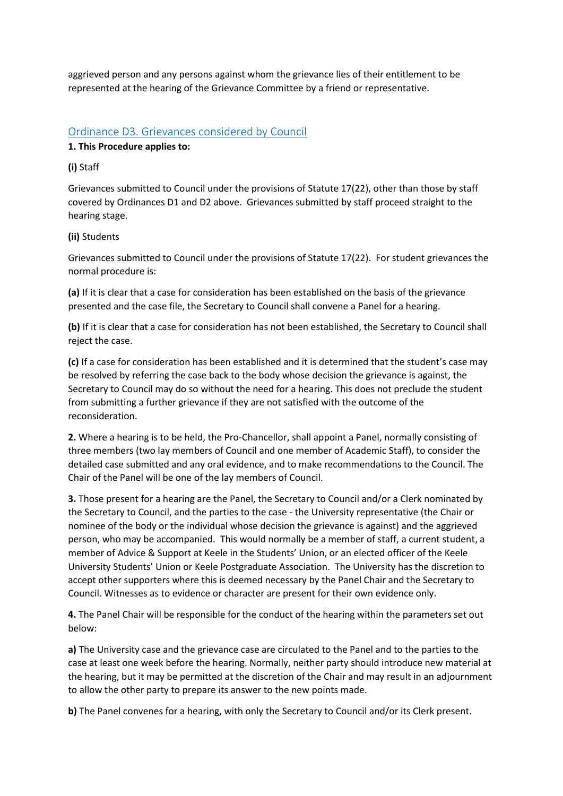aggrieved person and any persons against whom the grievance lies of their entitlement to be represented at the hearing of the Grievance Committee by a friend or representative.

## [Ordinance D3. Grievances considered by Council](https://www.keele.ac.uk/legalgovernancecompliance/governance/actcharterstatutesordinancesandregulations/universityordinances/#ordinance-d3.-grievances-considered-by-council)

#### **1. This Procedure applies to:**

#### **(i)** Staff

Grievances submitted to Council under the provisions of Statute 17(22), other than those by staff covered by Ordinances D1 and D2 above. Grievances submitted by staff proceed straight to the hearing stage.

### **(ii)** Students

Grievances submitted to Council under the provisions of Statute 17(22). For student grievances the normal procedure is:

**(a)** If it is clear that a case for consideration has been established on the basis of the grievance presented and the case file, the Secretary to Council shall convene a Panel for a hearing.

**(b)** If it is clear that a case for consideration has not been established, the Secretary to Council shall reject the case.

**(c)** If a case for consideration has been established and it is determined that the student's case may be resolved by referring the case back to the body whose decision the grievance is against, the Secretary to Council may do so without the need for a hearing. This does not preclude the student from submitting a further grievance if they are not satisfied with the outcome of the reconsideration.

**2.** Where a hearing is to be held, the Pro-Chancellor, shall appoint a Panel, normally consisting of three members (two lay members of Council and one member of Academic Staff), to consider the detailed case submitted and any oral evidence, and to make recommendations to the Council. The Chair of the Panel will be one of the lay members of Council.

**3.** Those present for a hearing are the Panel, the Secretary to Council and/or a Clerk nominated by the Secretary to Council, and the parties to the case - the University representative (the Chair or nominee of the body or the individual whose decision the grievance is against) and the aggrieved person, who may be accompanied. This would normally be a member of staff, a current student, a member of Advice & Support at Keele in the Students' Union, or an elected officer of the Keele University Students' Union or Keele Postgraduate Association. The University has the discretion to accept other supporters where this is deemed necessary by the Panel Chair and the Secretary to Council. Witnesses as to evidence or character are present for their own evidence only.

**4.** The Panel Chair will be responsible for the conduct of the hearing within the parameters set out below:

**a)** The University case and the grievance case are circulated to the Panel and to the parties to the case at least one week before the hearing. Normally, neither party should introduce new material at the hearing, but it may be permitted at the discretion of the Chair and may result in an adjournment to allow the other party to prepare its answer to the new points made.

**b)** The Panel convenes for a hearing, with only the Secretary to Council and/or its Clerk present.